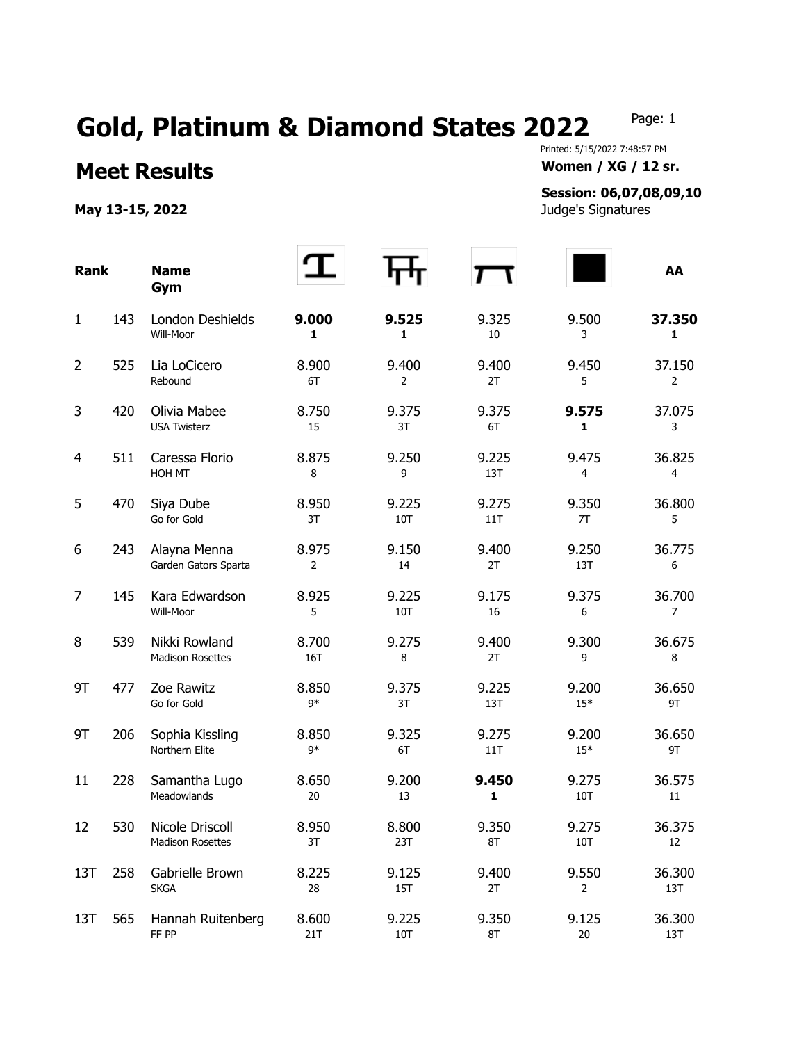## Gold, Platinum & Diamond States 2022 Page: 1

## **Meet Results Women / XG / 12 sr.**

**May 13-15, 2022** Judge's Signatures

Printed: 5/15/2022 7:48:57 PM

## **Session: 06,07,08,09,10**

| <b>Rank</b>    |     | <b>Name</b><br>Gym                         |               |                     |              |                | AA            |
|----------------|-----|--------------------------------------------|---------------|---------------------|--------------|----------------|---------------|
| 1              | 143 | London Deshields<br>Will-Moor              | 9.000<br>1    | 9.525<br>1          | 9.325<br>10  | 9.500<br>3     | 37.350<br>1   |
| $\overline{2}$ | 525 | Lia LoCicero<br>Rebound                    | 8.900<br>6T   | 9.400<br>2          | 9.400<br>2T  | 9.450<br>5     | 37.150<br>2   |
| 3              | 420 | Olivia Mabee<br><b>USA Twisterz</b>        | 8.750<br>15   | 9.375<br>3T         | 9.375<br>6T  | 9.575<br>1     | 37.075<br>3   |
| $\overline{4}$ | 511 | Caressa Florio<br>HOH MT                   | 8.875<br>8    | 9.250<br>9          | 9.225<br>13T | 9.475<br>4     | 36.825<br>4   |
| 5              | 470 | Siya Dube<br>Go for Gold                   | 8.950<br>3T   | 9.225<br>10T        | 9.275<br>11T | 9.350<br>7T    | 36.800<br>5   |
| 6              | 243 | Alayna Menna<br>Garden Gators Sparta       | 8.975<br>2    | 9.150<br>14         | 9.400<br>2T  | 9.250<br>13T   | 36.775<br>6   |
| $\overline{7}$ | 145 | Kara Edwardson<br>Will-Moor                | 8.925<br>5    | 9.225<br>10T        | 9.175<br>16  | 9.375<br>6     | 36.700<br>7   |
| 8              | 539 | Nikki Rowland<br><b>Madison Rosettes</b>   | 8.700<br>16T  | 9.275<br>8          | 9.400<br>2T  | 9.300<br>9     | 36.675<br>8   |
| 9T             | 477 | Zoe Rawitz<br>Go for Gold                  | 8.850<br>$9*$ | 9.375<br>3T         | 9.225<br>13T | 9.200<br>$15*$ | 36.650<br>9T  |
| 9T             | 206 | Sophia Kissling<br>Northern Elite          | 8.850<br>$9*$ | 9.325<br>6T         | 9.275<br>11T | 9.200<br>$15*$ | 36.650<br>9T  |
| 11             | 228 | Samantha Lugo<br>Meadowlands               | 8.650<br>20   | 9.200<br>13         | 9.450<br>1   | 9.275<br>10T   | 36.575<br>11  |
| 12             | 530 | Nicole Driscoll<br><b>Madison Rosettes</b> | 8.950<br>3T   | 8.800<br>23T        | 9.350<br>8T  | 9.275<br>10T   | 36.375<br>12  |
| 13T            | 258 | Gabrielle Brown<br><b>SKGA</b>             | 8.225<br>28   | 9.125<br><b>15T</b> | 9.400<br>2T  | 9.550<br>2     | 36.300<br>13T |
| 13T            | 565 | Hannah Ruitenberg<br>FF PP                 | 8.600<br>21T  | 9.225<br>10T        | 9.350<br>8T  | 9.125<br>20    | 36.300<br>13T |